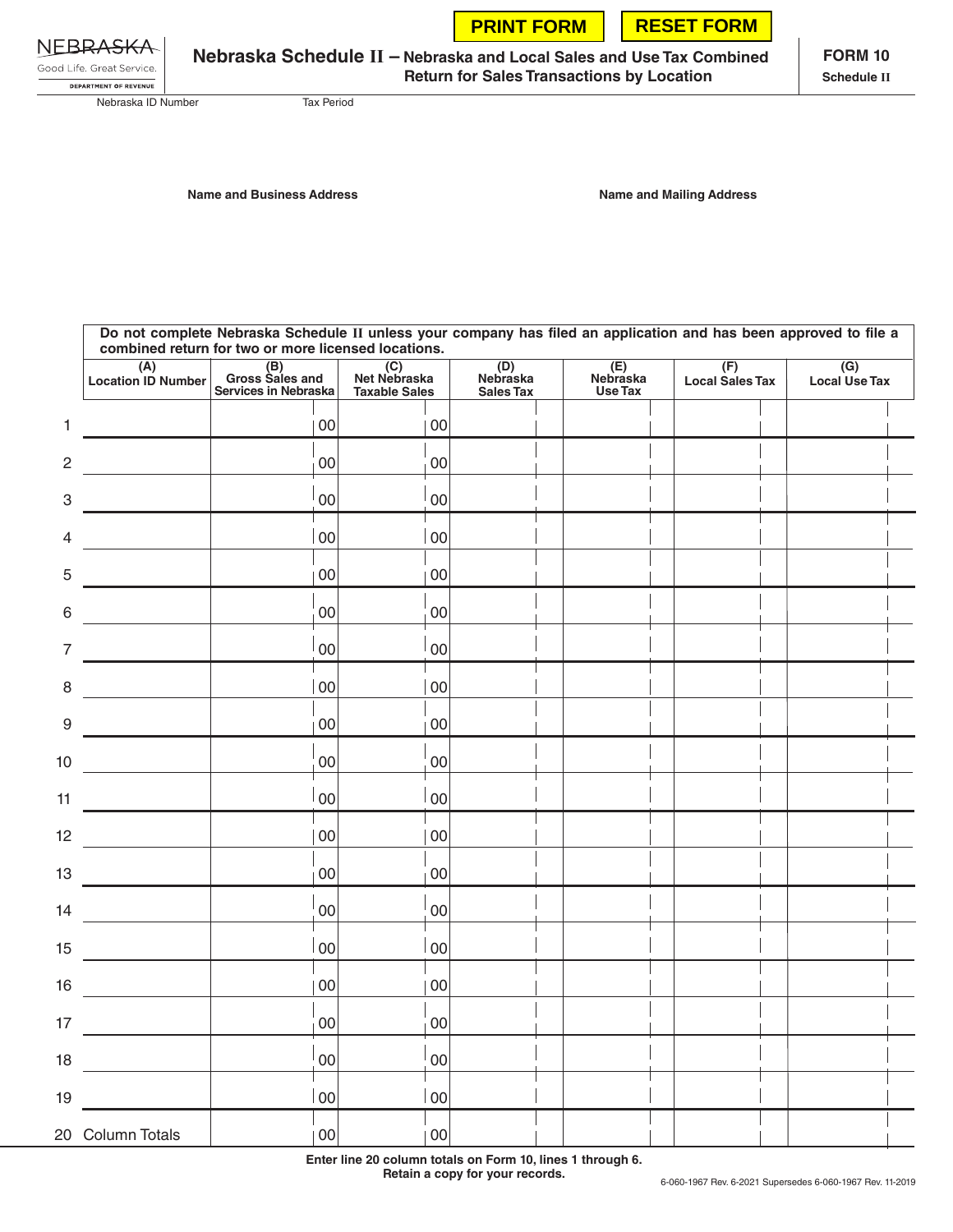|  |  | <b>PRINT FORM   RESET FORM</b> |
|--|--|--------------------------------|
|--|--|--------------------------------|

|  | NEBRA <del>SKA</del>      |  |
|--|---------------------------|--|
|  | Good Life, Great Service, |  |

DEPARTMENT OF REVENUE

**Nebraska Schedule II – Nebraska and Local Sales and Use Tax Combined Return for Sales Transactions by Location**

**FORM 10 Schedule II**

Nebraska ID Number Tax Period

**Name and Business Address Name and Mailing Address**

**Do not complete Nebraska Schedule II unless your company has filed an application and has been approved to file a combined return for two or more licensed locations. (A) (F) (G) (B) (E) (C) (D) Location ID Number Gross Sales and Net Nebraska Nebraska Nebraska Local Use Tax Local Sales Tax Services in Nebraska Taxable Sales Use Tax Sales Tax** 1 00 00 00 2 and  $\begin{bmatrix} 00 \\ 00 \end{bmatrix}$  00  $\begin{bmatrix} 00 \\ 00 \end{bmatrix}$  $3$  00 00 00 4 00 00 00 5 00 00 00 6 00 00 00 7 00 00 00 8 00 00 00 9 00 00 00  $\overline{\phantom{a}}$  $|00|$   $|00|$   $|00|$ 11  $|00|$   $|00|$ 12 | 00 | 00 | 00 13  $|00|$  00 14 | 00 | 00 | 00 | 00 15 00 00 00 16 00 00 00  $17$  00 00 00 18 00 00 00 19 00 00 20 Column Totals | 100 00 00 00

> **Enter line 20 column totals on Form 10, lines 1 through 6. Retain a copy for your records.**